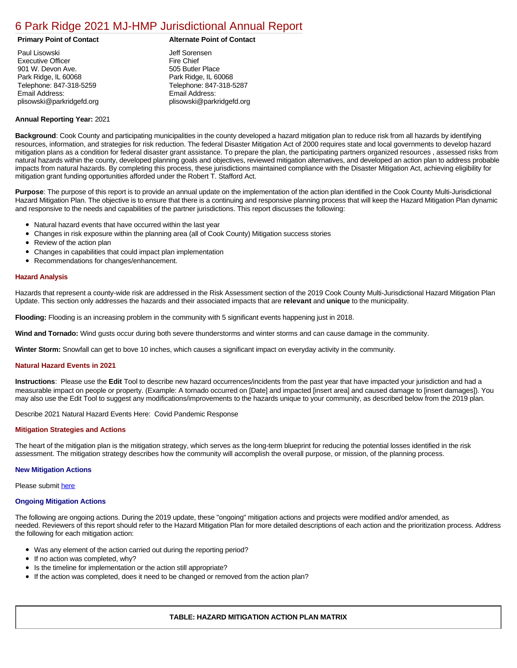## [6 Park Ridge 2021 MJ-HMP Jurisdictional Annual Report](https://parkridge.isc-cemp.com/Cemp/Details?id=8322808)

#### **Primary Point of Contact Alternate Point of Contact**

Paul Lisowski Executive Officer 901 W. Devon Ave. Park Ridge, IL 60068 Telephone: 847-318-5259 Email Address: plisowski@parkridgefd.org

Jeff Sorensen Fire Chief 505 Butler Place Park Ridge, IL 60068 Telephone: 847-318-5287 Email Address: plisowski@parkridgefd.org

#### **Annual Reporting Year:** 2021

**Background**: Cook County and participating municipalities in the county developed a hazard mitigation plan to reduce risk from all hazards by identifying resources, information, and strategies for risk reduction. The federal Disaster Mitigation Act of 2000 requires state and local governments to develop hazard mitigation plans as a condition for federal disaster grant assistance. To prepare the plan, the participating partners organized resources , assessed risks from natural hazards within the county, developed planning goals and objectives, reviewed mitigation alternatives, and developed an action plan to address probable impacts from natural hazards. By completing this process, these jurisdictions maintained compliance with the Disaster Mitigation Act, achieving eligibility for mitigation grant funding opportunities afforded under the Robert T. Stafford Act.

**Purpose**: The purpose of this report is to provide an annual update on the implementation of the action plan identified in the Cook County Multi-Jurisdictional Hazard Mitigation Plan. The objective is to ensure that there is a continuing and responsive planning process that will keep the Hazard Mitigation Plan dynamic and responsive to the needs and capabilities of the partner jurisdictions. This report discusses the following:

- Natural hazard events that have occurred within the last year
- Changes in risk exposure within the planning area (all of Cook County) Mitigation success stories
- Review of the action plan
- Changes in capabilities that could impact plan implementation
- Recommendations for changes/enhancement.

#### **Hazard Analysis**

Hazards that represent a county-wide risk are addressed in the Risk Assessment section of the 2019 Cook County Multi-Jurisdictional Hazard Mitigation Plan Update. This section only addresses the hazards and their associated impacts that are **relevant** and **unique** to the municipality.

**Flooding:** Flooding is an increasing problem in the community with 5 significant events happening just in 2018.

**Wind and Tornado:** Wind gusts occur during both severe thunderstorms and winter storms and can cause damage in the community.

**Winter Storm:** Snowfall can get to bove 10 inches, which causes a significant impact on everyday activity in the community.

#### **Natural Hazard Events in 2021**

**Instructions**: Please use the **Edit** Tool to describe new hazard occurrences/incidents from the past year that have impacted your jurisdiction and had a measurable impact on people or property. (Example: A tornado occurred on [Date] and impacted [insert area] and caused damage to [insert damages]). You may also use the Edit Tool to suggest any modifications/improvements to the hazards unique to your community, as described below from the 2019 plan.

Describe 2021 Natural Hazard Events Here: Covid Pandemic Response

#### **Mitigation Strategies and Actions**

The heart of the mitigation plan is the mitigation strategy, which serves as the long-term blueprint for reducing the potential losses identified in the risk assessment. The mitigation strategy describes how the community will accomplish the overall purpose, or mission, of the planning process.

#### **New Mitigation Actions**

Please submit [here](https://integratedsolutions.wufoo.com/forms/mg21jvf0jn639o/)

#### **Ongoing Mitigation Actions**

The following are ongoing actions. During the 2019 update, these "ongoing" mitigation actions and projects were modified and/or amended, as needed. Reviewers of this report should refer to the Hazard Mitigation Plan for more detailed descriptions of each action and the prioritization process. Address the following for each mitigation action:

- Was any element of the action carried out during the reporting period?
- If no action was completed, why?
- Is the timeline for implementation or the action still appropriate?
- If the action was completed, does it need to be changed or removed from the action plan?

### **TABLE: HAZARD MITIGATION ACTION PLAN MATRIX**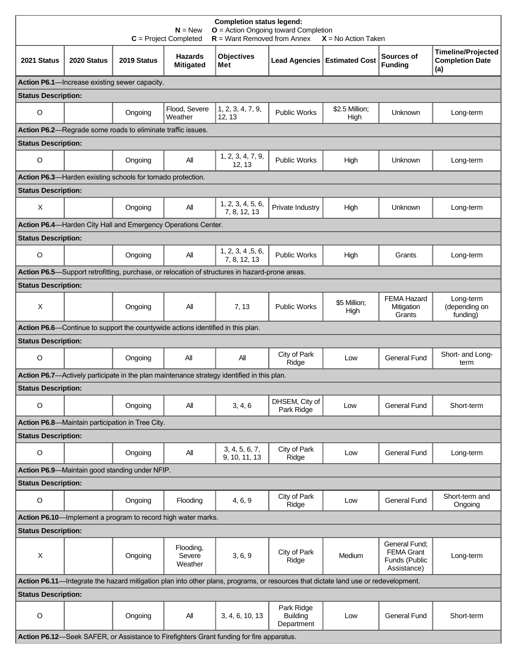| <b>Completion status legend:</b><br>$O =$ Action Ongoing toward Completion<br>$N = New$<br>$R =$ Want Removed from Annex<br>$C = Project Completed$<br>$X = No$ Action Taken |             |                                                                                 |                                    |                                                                                                |                                             |                                |                                                                    |                                                            |
|------------------------------------------------------------------------------------------------------------------------------------------------------------------------------|-------------|---------------------------------------------------------------------------------|------------------------------------|------------------------------------------------------------------------------------------------|---------------------------------------------|--------------------------------|--------------------------------------------------------------------|------------------------------------------------------------|
| 2021 Status                                                                                                                                                                  | 2020 Status | 2019 Status                                                                     | <b>Hazards</b><br><b>Mitigated</b> | <b>Objectives</b><br>Met                                                                       |                                             | Lead Agencies   Estimated Cost | Sources of<br><b>Funding</b>                                       | <b>Timeline/Projected</b><br><b>Completion Date</b><br>(a) |
|                                                                                                                                                                              |             | Action P6.1-Increase existing sewer capacity.                                   |                                    |                                                                                                |                                             |                                |                                                                    |                                                            |
| <b>Status Description:</b>                                                                                                                                                   |             |                                                                                 |                                    |                                                                                                |                                             |                                |                                                                    |                                                            |
| $\circ$                                                                                                                                                                      |             | Ongoing                                                                         | Flood, Severe<br>Weather           | 1, 2, 3, 4, 7, 9,<br>12, 13                                                                    | <b>Public Works</b>                         | \$2.5 Million;<br>High         | Unknown                                                            | Long-term                                                  |
|                                                                                                                                                                              |             | Action P6.2-Regrade some roads to eliminate traffic issues.                     |                                    |                                                                                                |                                             |                                |                                                                    |                                                            |
| <b>Status Description:</b>                                                                                                                                                   |             |                                                                                 |                                    |                                                                                                |                                             |                                |                                                                    |                                                            |
| $\circ$                                                                                                                                                                      |             | Ongoing                                                                         | All                                | 1, 2, 3, 4, 7, 9,<br>12, 13                                                                    | <b>Public Works</b>                         | High                           | <b>Unknown</b>                                                     | Long-term                                                  |
|                                                                                                                                                                              |             | Action P6.3-Harden existing schools for tornado protection.                     |                                    |                                                                                                |                                             |                                |                                                                    |                                                            |
| <b>Status Description:</b>                                                                                                                                                   |             |                                                                                 |                                    |                                                                                                |                                             |                                |                                                                    |                                                            |
| X                                                                                                                                                                            |             | Ongoing                                                                         | All                                | 1, 2, 3, 4, 5, 6,<br>7, 8, 12, 13                                                              | Private Industry                            | High                           | Unknown                                                            | Long-term                                                  |
|                                                                                                                                                                              |             | Action P6.4-Harden City Hall and Emergency Operations Center.                   |                                    |                                                                                                |                                             |                                |                                                                    |                                                            |
| <b>Status Description:</b>                                                                                                                                                   |             |                                                                                 |                                    |                                                                                                |                                             |                                |                                                                    |                                                            |
| $\circ$                                                                                                                                                                      |             | Ongoing                                                                         | All                                | 1, 2, 3, 4, 5, 6,<br>7, 8, 12, 13                                                              | <b>Public Works</b>                         | High                           | Grants                                                             | Long-term                                                  |
|                                                                                                                                                                              |             |                                                                                 |                                    | Action P6.5-Support retrofitting, purchase, or relocation of structures in hazard-prone areas. |                                             |                                |                                                                    |                                                            |
| <b>Status Description:</b>                                                                                                                                                   |             |                                                                                 |                                    |                                                                                                |                                             |                                |                                                                    |                                                            |
| X                                                                                                                                                                            |             | Ongoing                                                                         | All                                | 7, 13                                                                                          | <b>Public Works</b>                         | \$5 Million;<br>High           | <b>FEMA Hazard</b><br>Mitigation<br>Grants                         | Long-term<br>(depending on<br>funding)                     |
|                                                                                                                                                                              |             | Action P6.6—Continue to support the countywide actions identified in this plan. |                                    |                                                                                                |                                             |                                |                                                                    |                                                            |
| <b>Status Description:</b>                                                                                                                                                   |             |                                                                                 |                                    |                                                                                                |                                             |                                |                                                                    |                                                            |
| O                                                                                                                                                                            |             | Ongoing                                                                         | All                                | All                                                                                            | City of Park<br>Ridge                       | Low                            | <b>General Fund</b>                                                | Short- and Long-<br>term                                   |
| Action P6.7—Actively participate in the plan maintenance strategy identified in this plan.                                                                                   |             |                                                                                 |                                    |                                                                                                |                                             |                                |                                                                    |                                                            |
| <b>Status Description:</b>                                                                                                                                                   |             |                                                                                 |                                    |                                                                                                |                                             |                                |                                                                    |                                                            |
| $\circ$                                                                                                                                                                      |             | Ongoing                                                                         | All                                | 3, 4, 6                                                                                        | DHSEM, City of<br>Park Ridge                | Low                            | <b>General Fund</b>                                                | Short-term                                                 |
|                                                                                                                                                                              |             | Action P6.8-Maintain participation in Tree City.                                |                                    |                                                                                                |                                             |                                |                                                                    |                                                            |
| <b>Status Description:</b>                                                                                                                                                   |             |                                                                                 |                                    |                                                                                                |                                             |                                |                                                                    |                                                            |
| O                                                                                                                                                                            |             | Ongoing                                                                         | All                                | 3, 4, 5, 6, 7,<br>9, 10, 11, 13                                                                | City of Park<br>Ridge                       | Low                            | <b>General Fund</b>                                                | Long-term                                                  |
| Action P6.9-Maintain good standing under NFIP.                                                                                                                               |             |                                                                                 |                                    |                                                                                                |                                             |                                |                                                                    |                                                            |
| <b>Status Description:</b>                                                                                                                                                   |             |                                                                                 |                                    |                                                                                                |                                             |                                |                                                                    |                                                            |
| O                                                                                                                                                                            |             | Ongoing                                                                         | Flooding                           | 4, 6, 9                                                                                        | City of Park<br>Ridge                       | Low                            | General Fund                                                       | Short-term and<br>Ongoing                                  |
| Action P6.10—Implement a program to record high water marks.                                                                                                                 |             |                                                                                 |                                    |                                                                                                |                                             |                                |                                                                    |                                                            |
| <b>Status Description:</b>                                                                                                                                                   |             |                                                                                 |                                    |                                                                                                |                                             |                                |                                                                    |                                                            |
| X                                                                                                                                                                            |             | Ongoing                                                                         | Flooding,<br>Severe<br>Weather     | 3, 6, 9                                                                                        | City of Park<br>Ridge                       | Medium                         | General Fund;<br><b>FEMA Grant</b><br>Funds (Public<br>Assistance) | Long-term                                                  |
| Action P6.11-Integrate the hazard mitigation plan into other plans, programs, or resources that dictate land use or redevelopment.                                           |             |                                                                                 |                                    |                                                                                                |                                             |                                |                                                                    |                                                            |
| <b>Status Description:</b>                                                                                                                                                   |             |                                                                                 |                                    |                                                                                                |                                             |                                |                                                                    |                                                            |
| O                                                                                                                                                                            |             | Ongoing                                                                         | All                                | 3, 4, 6, 10, 13                                                                                | Park Ridge<br><b>Building</b><br>Department | Low                            | <b>General Fund</b>                                                | Short-term                                                 |
|                                                                                                                                                                              |             |                                                                                 |                                    | Action P6.12—Seek SAFER, or Assistance to Firefighters Grant funding for fire apparatus.       |                                             |                                |                                                                    |                                                            |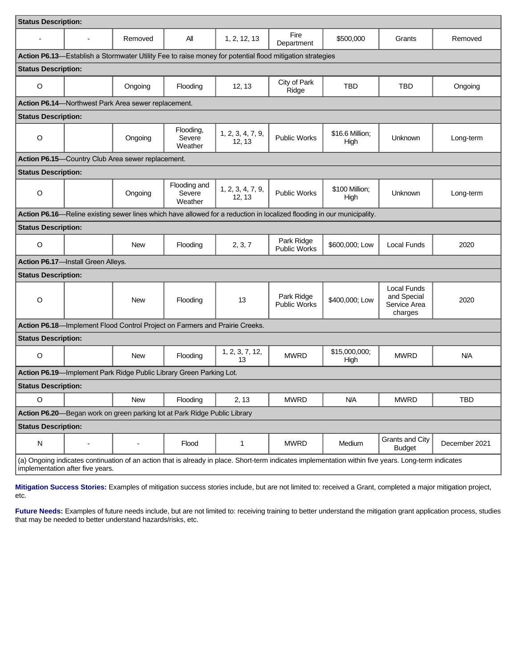| <b>Status Description:</b>                                                                                                                                                               |                                    |                                                                             |                                   |                                                                                                                        |                                   |                         |                                                              |               |
|------------------------------------------------------------------------------------------------------------------------------------------------------------------------------------------|------------------------------------|-----------------------------------------------------------------------------|-----------------------------------|------------------------------------------------------------------------------------------------------------------------|-----------------------------------|-------------------------|--------------------------------------------------------------|---------------|
|                                                                                                                                                                                          | $\blacksquare$                     | Removed                                                                     | All                               | 1, 2, 12, 13                                                                                                           | Fire<br>Department                | \$500,000               | Grants                                                       | Removed       |
|                                                                                                                                                                                          |                                    |                                                                             |                                   | Action P6.13—Establish a Stormwater Utility Fee to raise money for potential flood mitigation strategies               |                                   |                         |                                                              |               |
| <b>Status Description:</b>                                                                                                                                                               |                                    |                                                                             |                                   |                                                                                                                        |                                   |                         |                                                              |               |
| O                                                                                                                                                                                        |                                    | Ongoing                                                                     | Flooding                          | 12, 13                                                                                                                 | City of Park<br>Ridge             | <b>TBD</b>              | <b>TBD</b>                                                   | Ongoing       |
|                                                                                                                                                                                          |                                    | Action P6.14-Northwest Park Area sewer replacement.                         |                                   |                                                                                                                        |                                   |                         |                                                              |               |
| <b>Status Description:</b>                                                                                                                                                               |                                    |                                                                             |                                   |                                                                                                                        |                                   |                         |                                                              |               |
| $\circ$                                                                                                                                                                                  |                                    | Ongoing                                                                     | Flooding,<br>Severe<br>Weather    | 1, 2, 3, 4, 7, 9,<br>12, 13                                                                                            | <b>Public Works</b>               | \$16.6 Million;<br>High | Unknown                                                      | Long-term     |
|                                                                                                                                                                                          |                                    | Action P6.15-Country Club Area sewer replacement.                           |                                   |                                                                                                                        |                                   |                         |                                                              |               |
| <b>Status Description:</b>                                                                                                                                                               |                                    |                                                                             |                                   |                                                                                                                        |                                   |                         |                                                              |               |
| $\circ$                                                                                                                                                                                  |                                    | Ongoing                                                                     | Flooding and<br>Severe<br>Weather | 1, 2, 3, 4, 7, 9,<br>12, 13                                                                                            | <b>Public Works</b>               | \$100 Million;<br>High  | Unknown                                                      | Long-term     |
|                                                                                                                                                                                          |                                    |                                                                             |                                   | Action P6.16—Reline existing sewer lines which have allowed for a reduction in localized flooding in our municipality. |                                   |                         |                                                              |               |
| <b>Status Description:</b>                                                                                                                                                               |                                    |                                                                             |                                   |                                                                                                                        |                                   |                         |                                                              |               |
| $\circ$                                                                                                                                                                                  |                                    | <b>New</b>                                                                  | Flooding                          | 2, 3, 7                                                                                                                | Park Ridge<br><b>Public Works</b> | \$600,000; Low          | <b>Local Funds</b>                                           | 2020          |
|                                                                                                                                                                                          | Action P6.17-Install Green Alleys. |                                                                             |                                   |                                                                                                                        |                                   |                         |                                                              |               |
| <b>Status Description:</b>                                                                                                                                                               |                                    |                                                                             |                                   |                                                                                                                        |                                   |                         |                                                              |               |
| $\circ$                                                                                                                                                                                  |                                    | <b>New</b>                                                                  | Flooding                          | 13                                                                                                                     | Park Ridge<br><b>Public Works</b> | \$400,000; Low          | <b>Local Funds</b><br>and Special<br>Service Area<br>charges | 2020          |
|                                                                                                                                                                                          |                                    | Action P6.18-Implement Flood Control Project on Farmers and Prairie Creeks. |                                   |                                                                                                                        |                                   |                         |                                                              |               |
| <b>Status Description:</b>                                                                                                                                                               |                                    |                                                                             |                                   |                                                                                                                        |                                   |                         |                                                              |               |
| $\circ$                                                                                                                                                                                  |                                    | <b>New</b>                                                                  | Flooding                          | 1, 2, 3, 7, 12,<br>13                                                                                                  | <b>MWRD</b>                       | \$15,000,000;<br>High   | <b>MWRD</b>                                                  | N/A           |
|                                                                                                                                                                                          |                                    | Action P6.19-Implement Park Ridge Public Library Green Parking Lot.         |                                   |                                                                                                                        |                                   |                         |                                                              |               |
| <b>Status Description:</b>                                                                                                                                                               |                                    |                                                                             |                                   |                                                                                                                        |                                   |                         |                                                              |               |
| O                                                                                                                                                                                        |                                    | New                                                                         | Flooding                          | 2, 13                                                                                                                  | <b>MWRD</b>                       | N/A                     | <b>MWRD</b>                                                  | <b>TBD</b>    |
| Action P6.20-Began work on green parking lot at Park Ridge Public Library                                                                                                                |                                    |                                                                             |                                   |                                                                                                                        |                                   |                         |                                                              |               |
| <b>Status Description:</b>                                                                                                                                                               |                                    |                                                                             |                                   |                                                                                                                        |                                   |                         |                                                              |               |
| N                                                                                                                                                                                        |                                    |                                                                             | Flood                             | 1                                                                                                                      | <b>MWRD</b>                       | Medium                  | Grants and City<br><b>Budget</b>                             | December 2021 |
| (a) Ongoing indicates continuation of an action that is already in place. Short-term indicates implementation within five years. Long-term indicates<br>implementation after five years. |                                    |                                                                             |                                   |                                                                                                                        |                                   |                         |                                                              |               |

**Mitigation Success Stories:** Examples of mitigation success stories include, but are not limited to: received a Grant, completed a major mitigation project, etc.

Future Needs: Examples of future needs include, but are not limited to: receiving training to better understand the mitigation grant application process, studies that may be needed to better understand hazards/risks, etc.